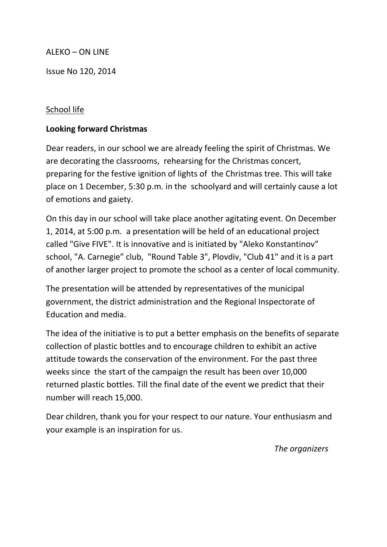### ALEKO – ON LINE

Issue No 120, 2014

### School life

### **Looking forward Christmas**

Dear readers, in our school we are already feeling the spirit of Christmas. We are decorating the classrooms, rehearsing for the Christmas concert, preparing for the festive ignition of lights of the Christmas tree. This will take place on 1 December, 5:30 p.m. in the schoolyard and will certainly cause a lot of emotions and gaiety.

On this day in our school will take place another agitating event. On December 1, 2014, at 5:00 p.m. a presentation will be held of an educational project called "Give FIVE". It is innovative and is initiated by "Aleko Konstantinov" school, "A. Carnegie" club, "Round Table 3", Plovdiv, "Club 41" and it is a part of another larger project to promote the school as a center of local community.

The presentation will be attended by representatives of the municipal government, the district administration and the Regional Inspectorate of Education and media.

The idea of the initiative is to put a better emphasis on the benefits of separate collection of plastic bottles and to encourage children to exhibit an active attitude towards the conservation of the environment. For the past three weeks since the start of the campaign the result has been over 10,000 returned plastic bottles. Till the final date of the event we predict that their number will reach 15,000.

Dear children, thank you for your respect to our nature. Your enthusiasm and your example is an inspiration for us.

 *The organizers*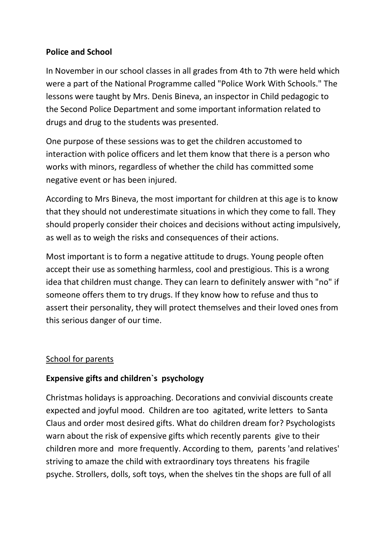## **Police and School**

In November in our school classes in all grades from 4th to 7th were held which were a part of the National Programme called "Police Work With Schools." The lessons were taught by Mrs. Denis Bineva, an inspector in Child pedagogic to the Second Police Department and some important information related to drugs and drug to the students was presented.

One purpose of these sessions was to get the children accustomed to interaction with police officers and let them know that there is a person who works with minors, regardless of whether the child has committed some negative event or has been injured.

According to Mrs Bineva, the most important for children at this age is to know that they should not underestimate situations in which they come to fall. They should properly consider their choices and decisions without acting impulsively, as well as to weigh the risks and consequences of their actions.

Most important is to form a negative attitude to drugs. Young people often accept their use as something harmless, cool and prestigious. This is a wrong idea that children must change. They can learn to definitely answer with "no" if someone offers them to try drugs. If they know how to refuse and thus to assert their personality, they will protect themselves and their loved ones from this serious danger of our time.

### School for parents

## **Expensive gifts and children`s psychology**

Christmas holidays is approaching. Decorations and convivial discounts create expected and joyful mood. Children are too agitated, write letters to Santa Claus and order most desired gifts. What do children dream for? Psychologists warn about the risk of expensive gifts which recently parents give to their children more and more frequently. According to them, parents 'and relatives' striving to amaze the child with extraordinary toys threatens his fragile psyche. Strollers, dolls, soft toys, when the shelves tin the shops are full of all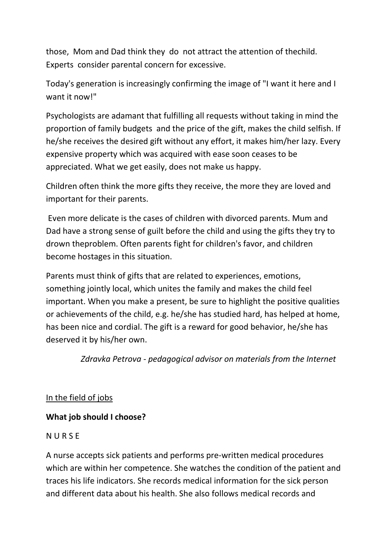those, Mom and Dad think they do not attract the attention of thechild. Experts consider parental concern for excessive.

Today's generation is increasingly confirming the image of "I want it here and I want it now!"

Psychologists are adamant that fulfilling all requests without taking in mind the proportion of family budgets and the price of the gift, makes the child selfish. If he/she receives the desired gift without any effort, it makes him/her lazy. Every expensive property which was acquired with ease soon ceases to be appreciated. What we get easily, does not make us happy.

Children often think the more gifts they receive, the more they are loved and important for their parents.

Even more delicate is the cases of children with divorced parents. Mum and Dad have a strong sense of guilt before the child and using the gifts they try to drown theproblem. Often parents fight for children's favor, and children become hostages in this situation.

Parents must think of gifts that are related to experiences, emotions, something jointly local, which unites the family and makes the child feel important. When you make a present, be sure to highlight the positive qualities or achievements of the child, e.g. he/she has studied hard, has helped at home, has been nice and cordial. The gift is a reward for good behavior, he/she has deserved it by his/her own.

 *Zdravka Petrova - pedagogical advisor on materials from the Internet*

## In the field of jobs

# **What job should I choose?**

## **NURSE**

A nurse accepts sick patients and performs pre-written medical procedures which are within her competence. She watches the condition of the patient and traces his life indicators. She records medical information for the sick person and different data about his health. She also follows medical records and